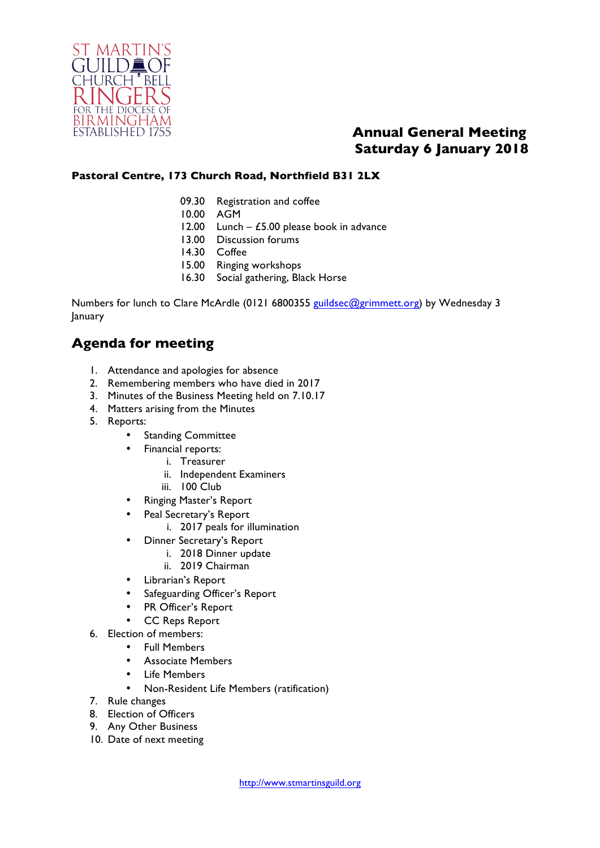

## **Annual General Meeting Saturday 6 January 2018**

#### **Pastoral Centre, 173 Church Road, Northfield B31 2LX**

- 09.30 Registration and coffee
- 10.00 AGM
- 12.00 Lunch  $£5.00$  please book in advance
- 13.00 Discussion forums
- 14.30 Coffee
- 15.00 Ringing workshops
- 16.30 Social gathering, Black Horse

Numbers for lunch to Clare McArdle (0121 6800355 guildsec@grimmett.org) by Wednesday 3 January

## **Agenda for meeting**

- 1. Attendance and apologies for absence
- 2. Remembering members who have died in 2017
- 3. Minutes of the Business Meeting held on 7.10.17
- 4. Matters arising from the Minutes
- 5. Reports:
	- **Standing Committee** 
		- Financial reports:
			- i. Treasurer
			- ii. Independent Examiners
			- iii. 100 Club
	- Ringing Master's Report
	- Peal Secretary's Report
		- i. 2017 peals for illumination
	- Dinner Secretary's Report
		- i. 2018 Dinner update
		- ii. 2019 Chairman
	- Librarian's Report
	- Safeguarding Officer's Report
	- PR Officer's Report
	- CC Reps Report
- 6. Election of members:
	- Full Members
		- Associate Members
		- Life Members
			- Non-Resident Life Members (ratification)
- 7. Rule changes
- 8. Election of Officers
- 9. Any Other Business
- 10. Date of next meeting